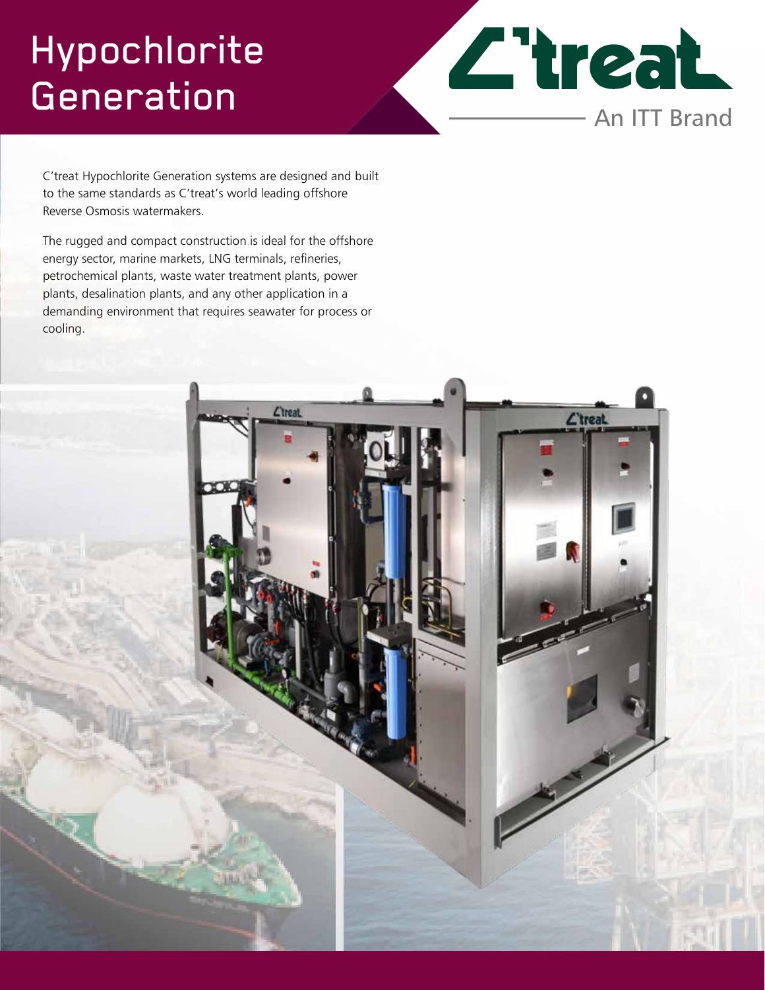## Hypochlorite **Generation**

**Z'treat** An ITT Brand

C'treat Hypochlorite Generation systems are designed and built to the same standards as C'treat's world leading offshore Reverse Osmosis watermakers.

The rugged and compact construction is ideal for the offshore energy sector, marine markets, LNG terminals, refineries, petrochemical plants, waste water treatment plants, power plants, desalination plants, and any other application in a demanding environment that requires seawater for process or cooling.